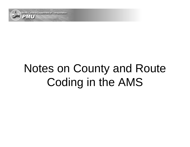

# Notes on County and Route Coding in the AMS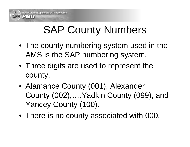## SAP County Numbers

- The county numbering system used in the AMS is the SAP numbering system.
- Three digits are used to represent the county.
- Alamance County (001), Alexander County (002),….Yadkin County (099), and Yancey County (100).
- There is no county associated with 000.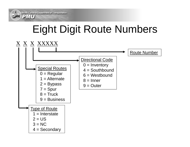2MU

## Eight Digit Route Numbers

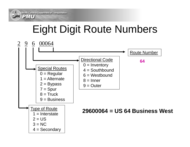PMU

## Eight Digit Route Numbers

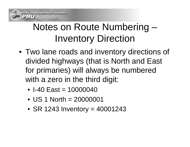#### Notes on Route Numbering – Inventory Direction

- Two lane roads and inventory directions of divided highways (that is North and East for primaries) will always be numbered with a zero in the third digit:
	- I-40 East = 10000040
	- US 1 North = 20000001
	- SR 1243 Inventory = 40001243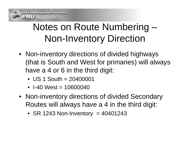#### Notes on Route Numbering – Non-Inventory Direction

- Non-inventory directions of divided highways (that is South and West for primaries) will always have a 4 or 6 in the third digit:
	- US 1 South = 20400001
	- I-40 West = 10600040
- Non-inventory directions of divided Secondary Routes will always have a 4 in the third digit:
	- SR 1243 Non-Inventory = 40401243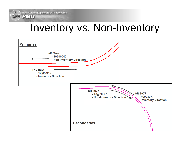2MU

#### Inventory vs. Non-Inventory

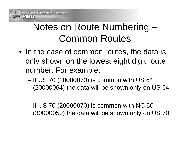#### Notes on Route Numbering – Common Routes

- In the case of common routes, the data is only shown on the lowest eight digit route number. For example:
	- – If US 70 (20000070) is common with US 64 (20000064) the data will be shown only on US 64.
	- – If US 70 (20000070) is common with NC 50 (30000050) the data will be shown only on US 70.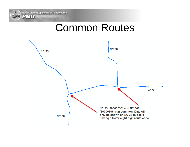North Carolina Department of Transportation

 $2M$ 

#### Common Routes

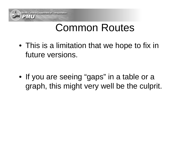

### Common Routes

- This is a limitation that we hope to fix in future versions.
- If you are seeing "gaps" in a table or a graph, this might very well be the culprit.